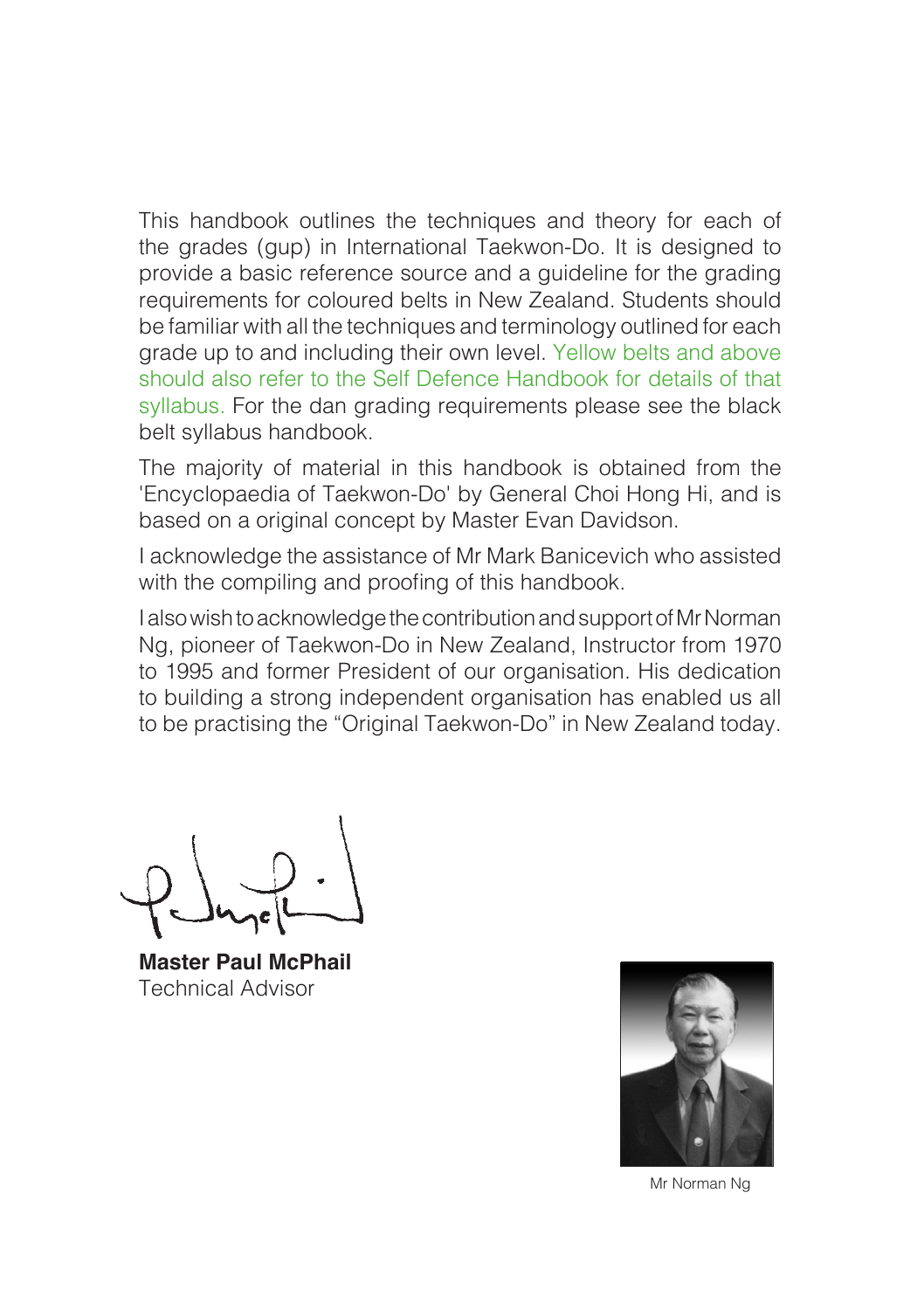This handbook outlines the techniques and theory for each of the grades (gup) in International Taekwon-Do. It is designed to provide a basic reference source and a guideline for the grading requirements for coloured belts in New Zealand. Students should be familiar with all the techniques and terminology outlined for each grade up to and including their own level. Yellow belts and above should also refer to the Self Defence Handbook for details of that syllabus. For the dan grading requirements please see the black belt syllabus handbook.

The majority of material in this handbook is obtained from the 'Encyclopaedia of Taekwon-Do' by General Choi Hong Hi, and is based on a original concept by Master Evan Davidson.

I acknowledge the assistance of Mr Mark Banicevich who assisted with the compiling and proofing of this handbook.

I also wish to acknowledge the contribution and support of Mr Norman Ng, pioneer of Taekwon-Do in New Zealand, Instructor from 1970 to 1995 and former President of our organisation. His dedication to building a strong independent organisation has enabled us all to be practising the "Original Taekwon-Do" in New Zealand today.

**Master Paul McPhail** Technical Advisor



Mr Norman Ng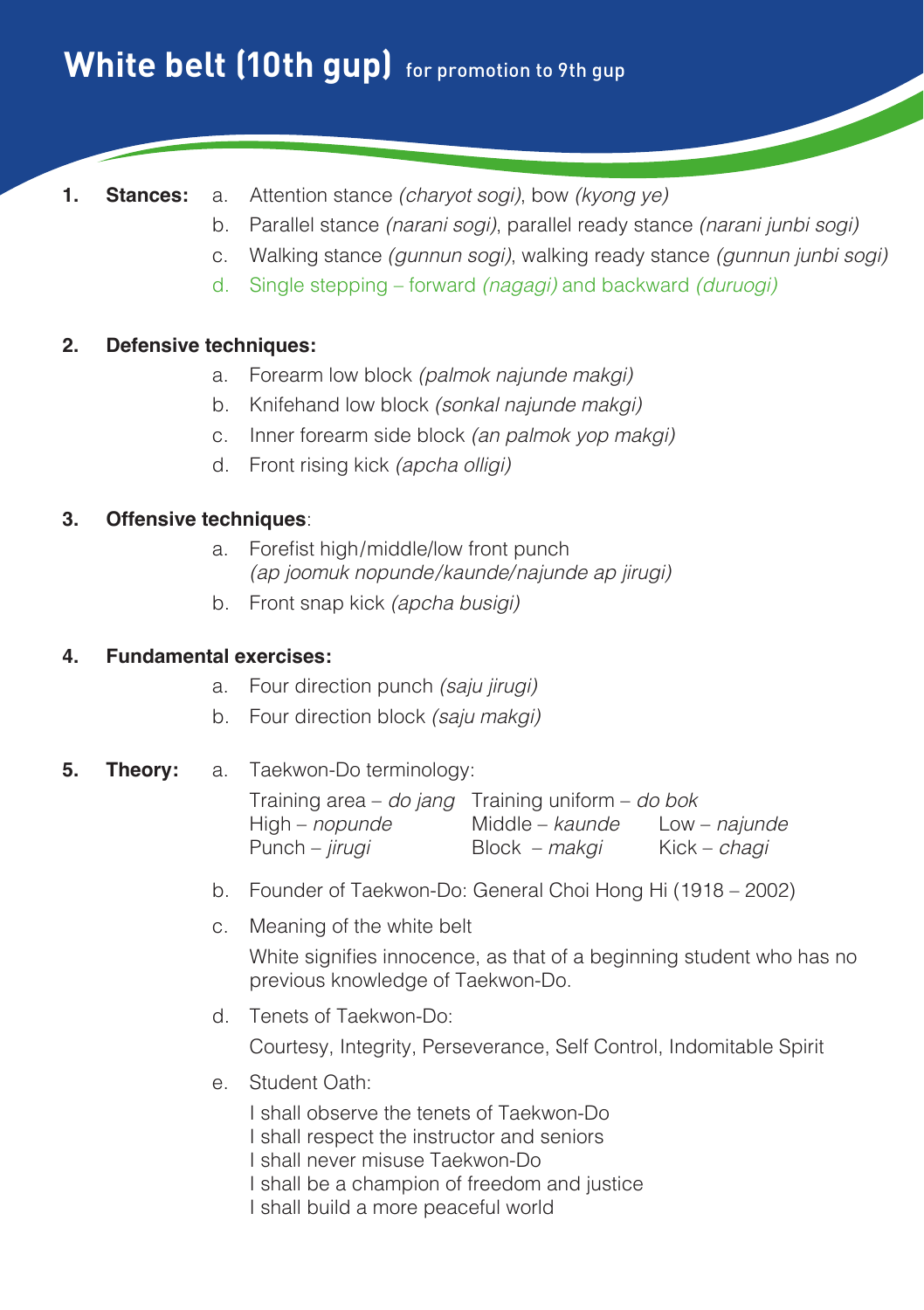# **White belt (10th qup)** for promotion to 9th qup

- 
- **1. Stances:** a. Attention stance *(charyot sogi)*, bow *(kyong ye)*
	- b. Parallel stance *(narani sogi)*, parallel ready stance *(narani junbi sogi)*
	- c. Walking stance *(gunnun sogi)*, walking ready stance *(gunnun junbi sogi)*
	- d. Single stepping forward *(nagagi)* and backward *(duruogi)*

## **2. Defensive techniques:**

- a. Forearm low block *(palmok najunde makgi)*
- b. Knifehand low block *(sonkal najunde makgi)*
- c. Inner forearm side block *(an palmok yop makgi)*
- d. Front rising kick *(apcha olligi)*

#### **3. Offensive techniques**:

- a. Forefist high/middle/low front punch *(ap joomuk nopunde/kaunde/najunde ap jirugi)*
- b. Front snap kick *(apcha busigi)*

### **4. Fundamental exercises:**

- a. Four direction punch *(saju jirugi)*
- b. Four direction block *(saju makgi)*

# **5. Theory:** a. Taekwon-Do terminology:

| Training area $-$ do jang Training uniform $-$ do bok |                        |                     |
|-------------------------------------------------------|------------------------|---------------------|
| High – <i>nopunde</i>                                 | Middle – <i>kaunde</i> | Low – najunde       |
| Punch – <i>jirugi</i>                                 | Block <i>– makgi</i>   | Kick – <i>chagi</i> |

- b. Founder of Taekwon-Do: General Choi Hong Hi (1918 2002)
- c. Meaning of the white belt

White signifies innocence, as that of a beginning student who has no previous knowledge of Taekwon-Do.

d. Tenets of Taekwon-Do:

Courtesy, Integrity, Perseverance, Self Control, Indomitable Spirit

e. Student Oath:

 I shall observe the tenets of Taekwon-Do I shall respect the instructor and seniors I shall never misuse Taekwon-Do I shall be a champion of freedom and justice I shall build a more peaceful world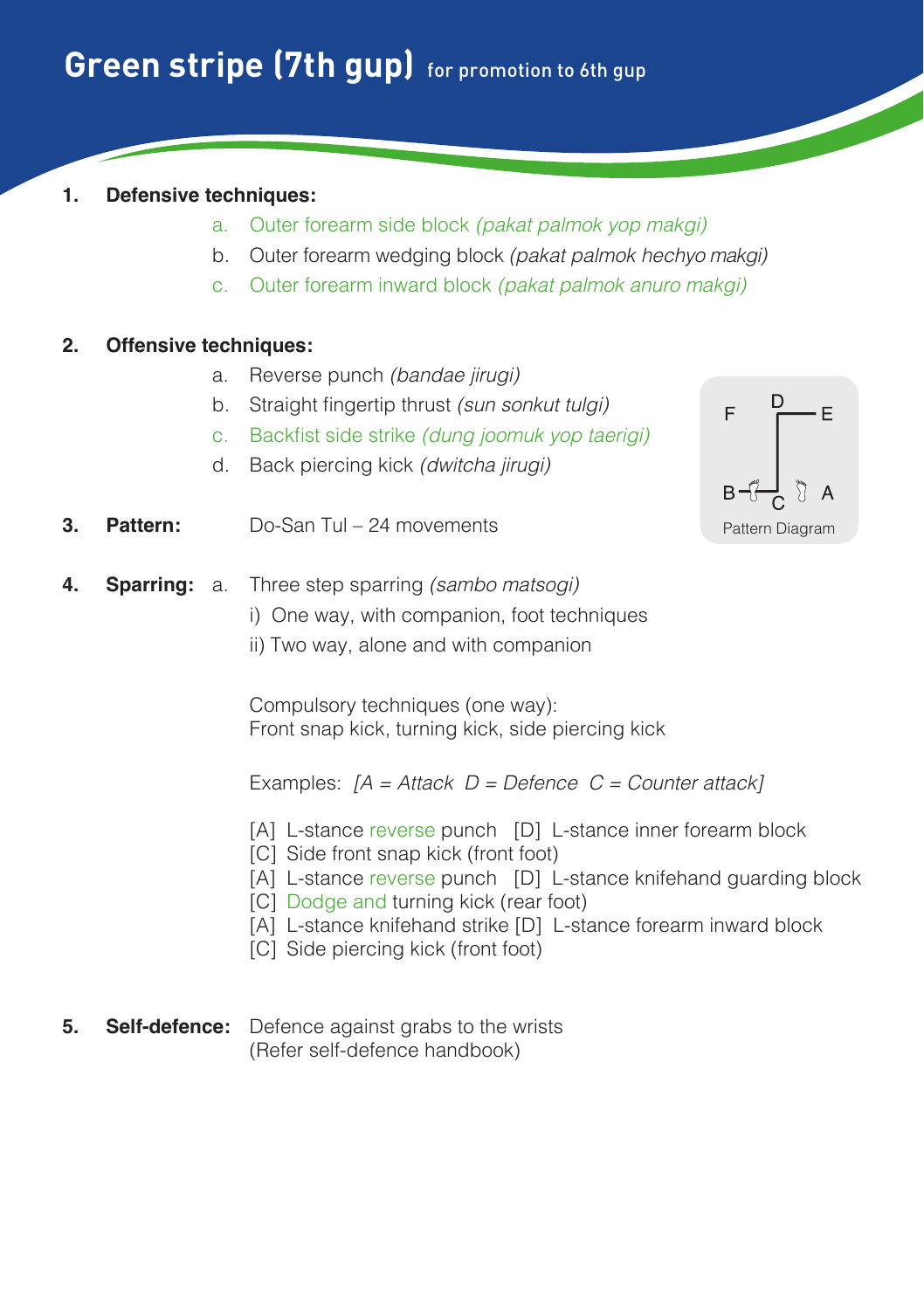## **1. Defensive techniques:**

- a. Outer forearm side block *(pakat palmok yop makgi)*
- b. Outer forearm wedging block *(pakat palmok hechyo makgi)*
- c. Outer forearm inward block *(pakat palmok anuro makgi)*

## **2. Offensive techniques:**

- a. Reverse punch *(bandae jirugi)*
- b. Straight fingertip thrust *(sun sonkut tulgi)*
- c. Backfist side strike *(dung joomuk yop taerigi)*
- d. Back piercing kick *(dwitcha jirugi)*



- **3. Pattern:** Do-San Tul 24 movements
- **4. Sparring:** a. Three step sparring *(sambo matsogi)*
	- i) One way, with companion, foot techniques
	- ii) Two way, alone and with companion

 Compulsory techniques (one way): Front snap kick, turning kick, side piercing kick

- [A] L-stance reverse punch [D] L-stance inner forearm block
- [C] Side front snap kick (front foot)
- [A] L-stance reverse punch [D] L-stance knifehand guarding block
- [C] Dodge and turning kick (rear foot)
- [A] L-stance knifehand strike [D] L-stance forearm inward block
- [C] Side piercing kick (front foot)
- **5. Self-defence:** Defence against grabs to the wrists (Refer self-defence handbook)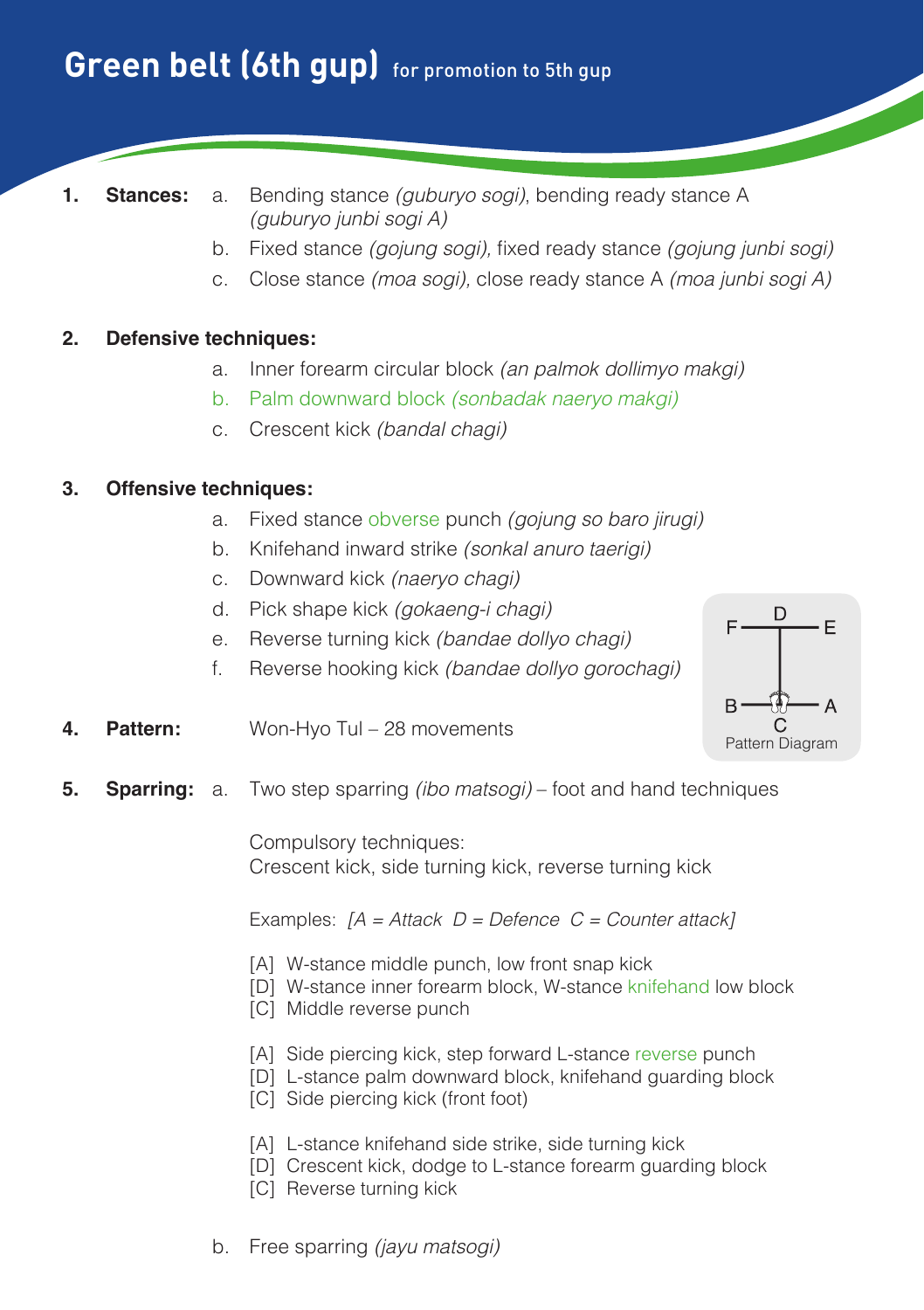# **Green belt (6th qup)** for promotion to 5th qup

- 
- **1. Stances:** a. Bending stance *(guburyo sogi)*, bending ready stance A *(guburyo junbi sogi A)*
	- b. Fixed stance *(gojung sogi),* fixed ready stance *(gojung junbi sogi)*
	- c. Close stance *(moa sogi),* close ready stance A *(moa junbi sogi A)*

#### **2. Defensive techniques:**

- a. Inner forearm circular block *(an palmok dollimyo makgi)*
- b. Palm downward block *(sonbadak naeryo makgi)*
- c. Crescent kick *(bandal chagi)*

#### **3. Offensive techniques:**

- a. Fixed stance obverse punch *(gojung so baro jirugi)*
- b. Knifehand inward strike *(sonkal anuro taerigi)*
- c. Downward kick *(naeryo chagi)*
- d. Pick shape kick *(gokaeng-i chagi)*
- e. Reverse turning kick *(bandae dollyo chagi)*
- f. Reverse hooking kick *(bandae dollyo gorochagi)*



- **4. Pattern:** Won-Hyo Tul 28 movements
- **5. Sparring:** a. Two step sparring *(ibo matsogi)* foot and hand techniques

 Compulsory techniques: Crescent kick, side turning kick, reverse turning kick

- [A] W-stance middle punch, low front snap kick
- [D] W-stance inner forearm block, W-stance knifehand low block
- [C] Middle reverse punch
- [A] Side piercing kick, step forward L-stance reverse punch
- [D] L-stance palm downward block, knifehand guarding block
- [C] Side piercing kick (front foot)
- [A] L-stance knifehand side strike, side turning kick
- [D] Crescent kick, dodge to L-stance forearm guarding block
- [C] Reverse turning kick
- b. Free sparring *(jayu matsogi)*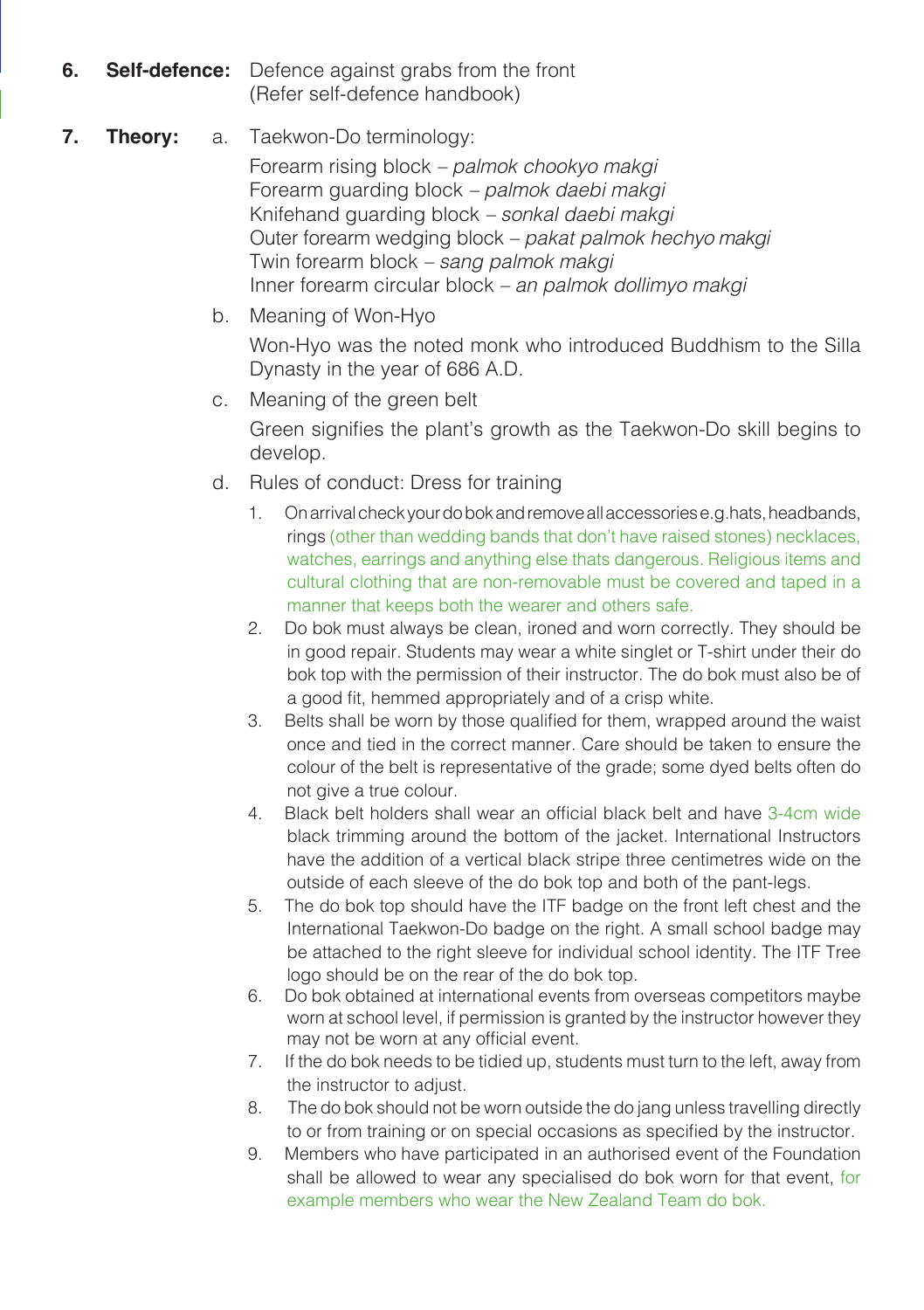**6. Self-defence:** Defence against grabs from the front (Refer self-defence handbook)

## **7. Theory:** a. Taekwon-Do terminology:

 Forearm rising block *– palmok chookyo makgi* Forearm guarding block *– palmok daebi makgi* Knifehand guarding block *– sonkal daebi makgi* Outer forearm wedging block *– pakat palmok hechyo makgi* Twin forearm block *– sang palmok makgi* Inner forearm circular block *– an palmok dollimyo makgi*

b. Meaning of Won-Hyo

Won-Hyo was the noted monk who introduced Buddhism to the Silla Dynasty in the year of 686 A.D.

- c. Meaning of the green belt Green signifies the plant's growth as the Taekwon-Do skill begins to develop.
- d. Rules of conduct: Dress for training
	- 1. On arrival check your do bok and remove all accessories e.g.hats, headbands, rings (other than wedding bands that don't have raised stones) necklaces, watches, earrings and anything else thats dangerous. Religious items and cultural clothing that are non-removable must be covered and taped in a manner that keeps both the wearer and others safe.
	- 2. Do bok must always be clean, ironed and worn correctly. They should be in good repair. Students may wear a white singlet or T-shirt under their do bok top with the permission of their instructor. The do bok must also be of a good fit, hemmed appropriately and of a crisp white.
	- 3. Belts shall be worn by those qualified for them, wrapped around the waist once and tied in the correct manner. Care should be taken to ensure the colour of the belt is representative of the grade; some dyed belts often do not give a true colour.
	- 4. Black belt holders shall wear an official black belt and have 3-4cm wide black trimming around the bottom of the jacket. International Instructors have the addition of a vertical black stripe three centimetres wide on the outside of each sleeve of the do bok top and both of the pant-legs.
	- 5. The do bok top should have the ITF badge on the front left chest and the International Taekwon-Do badge on the right. A small school badge may be attached to the right sleeve for individual school identity. The ITF Tree logo should be on the rear of the do bok top.
	- 6. Do bok obtained at international events from overseas competitors maybe worn at school level, if permission is granted by the instructor however they may not be worn at any official event.
	- 7. If the do bok needs to be tidied up, students must turn to the left, away from the instructor to adjust.
	- 8. The do bok should not be worn outside the do jang unless travelling directly to or from training or on special occasions as specified by the instructor.
	- 9. Members who have participated in an authorised event of the Foundation shall be allowed to wear any specialised do bok worn for that event, for example members who wear the New Zealand Team do bok.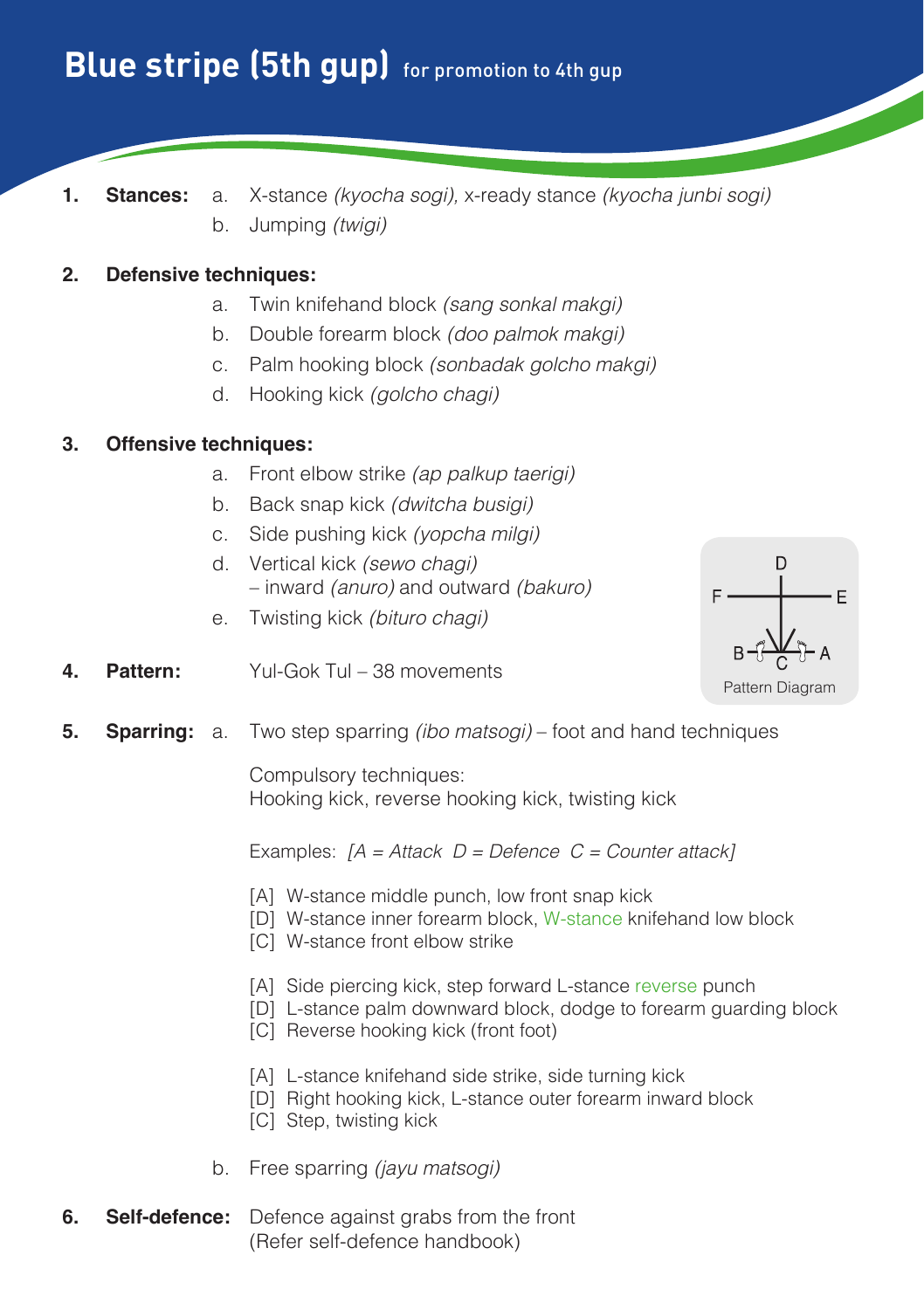**1. Stances:** a. X-stance *(kyocha sogi),* x-ready stance *(kyocha junbi sogi)* b. Jumping *(twigi)*

#### **2. Defensive techniques:**

- a. Twin knifehand block *(sang sonkal makgi)*
- b. Double forearm block *(doo palmok makgi)*
- c. Palm hooking block *(sonbadak golcho makgi)*
- d. Hooking kick *(golcho chagi)*

#### **3. Offensive techniques:**

- a. Front elbow strike *(ap palkup taerigi)*
- b. Back snap kick *(dwitcha busigi)*
- c. Side pushing kick *(yopcha milgi)*
- d. Vertical kick *(sewo chagi)* – inward *(anuro)* and outward *(bakuro)*
- e. Twisting kick *(bituro chagi)*



- **4. Pattern:** Yul-Gok Tul 38 movements
- **5. Sparring:** a. Two step sparring *(ibo matsogi)* foot and hand techniques

 Compulsory techniques: Hooking kick, reverse hooking kick, twisting kick

- [A] W-stance middle punch, low front snap kick
- [D] W-stance inner forearm block, W-stance knifehand low block
- [C] W-stance front elbow strike
- [A] Side piercing kick, step forward L-stance reverse punch
- [D] L-stance palm downward block, dodge to forearm guarding block
- [C] Reverse hooking kick (front foot)
- [A] L-stance knifehand side strike, side turning kick
- [D] Right hooking kick, L-stance outer forearm inward block
- [C] Step, twisting kick
- b. Free sparring *(jayu matsogi)*
- **6. Self-defence:** Defence against grabs from the front (Refer self-defence handbook)